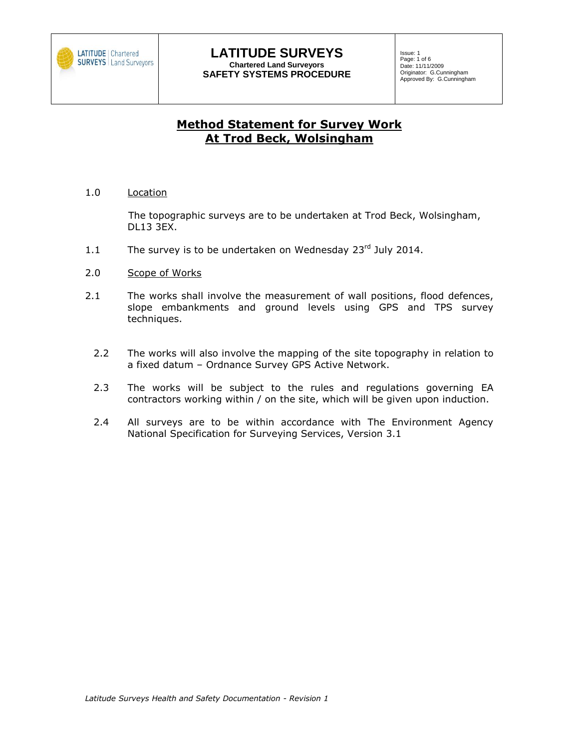

Issue: 1 Page: 1 of 6 Date: 11/11/2009 Originator: G.Cunningham Approved By: G.Cunningham

# **Method Statement for Survey Work At Trod Beck, Wolsingham**

1.0 Location

The topographic surveys are to be undertaken at Trod Beck, Wolsingham, DL13 3EX.

- 1.1 The survey is to be undertaken on Wednesday  $23<sup>rd</sup>$  July 2014.
- 2.0 Scope of Works
- 2.1 The works shall involve the measurement of wall positions, flood defences, slope embankments and ground levels using GPS and TPS survey techniques.
	- 2.2 The works will also involve the mapping of the site topography in relation to a fixed datum – Ordnance Survey GPS Active Network.
	- 2.3 The works will be subject to the rules and regulations governing EA contractors working within / on the site, which will be given upon induction.
	- 2.4 All surveys are to be within accordance with The Environment Agency National Specification for Surveying Services, Version 3.1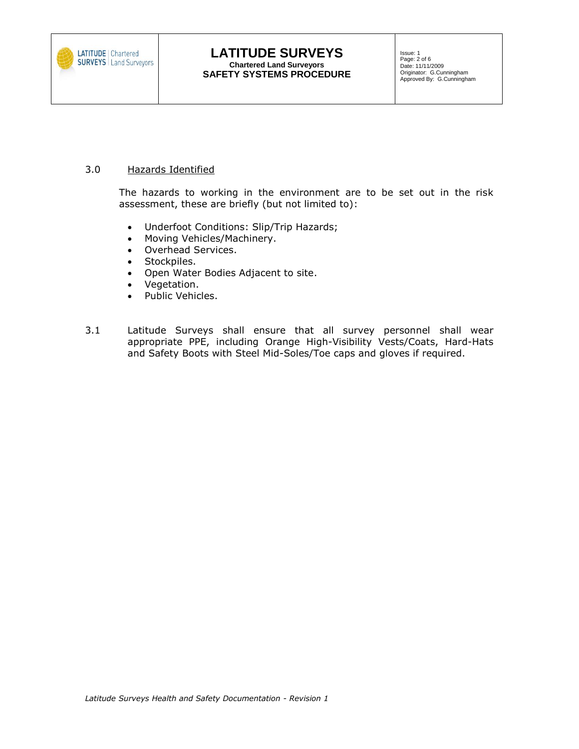

## 3.0 Hazards Identified

The hazards to working in the environment are to be set out in the risk assessment, these are briefly (but not limited to):

- Underfoot Conditions: Slip/Trip Hazards;
- Moving Vehicles/Machinery.
- Overhead Services.
- Stockpiles.
- Open Water Bodies Adjacent to site.
- Vegetation.
- Public Vehicles.
- 3.1 Latitude Surveys shall ensure that all survey personnel shall wear appropriate PPE, including Orange High-Visibility Vests/Coats, Hard-Hats and Safety Boots with Steel Mid-Soles/Toe caps and gloves if required.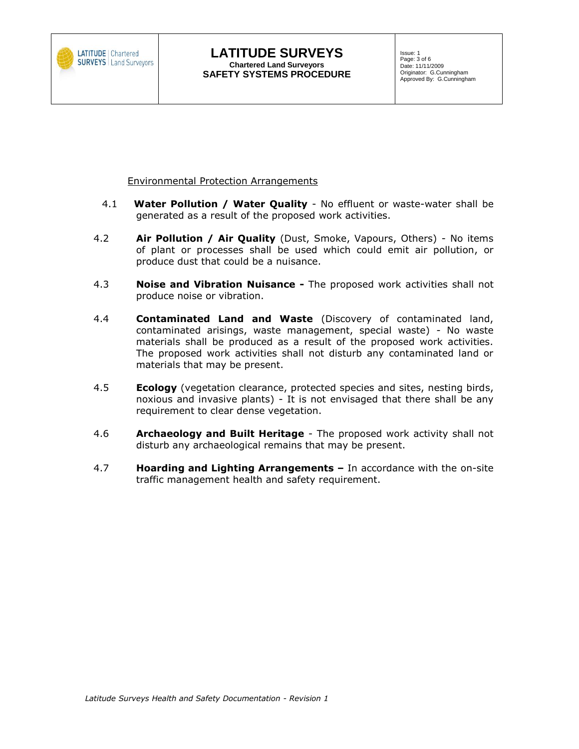

**Environmental Protection Arrangements** 

- 4.1 **Water Pollution / Water Quality** No effluent or waste-water shall be generated as a result of the proposed work activities.
- 4.2 **Air Pollution / Air Quality** (Dust, Smoke, Vapours, Others) No items of plant or processes shall be used which could emit air pollution, or produce dust that could be a nuisance.
- 4.3 **Noise and Vibration Nuisance -** The proposed work activities shall not produce noise or vibration.
- 4.4 **Contaminated Land and Waste** (Discovery of contaminated land, contaminated arisings, waste management, special waste) - No waste materials shall be produced as a result of the proposed work activities. The proposed work activities shall not disturb any contaminated land or materials that may be present.
- 4.5 **Ecology** (vegetation clearance, protected species and sites, nesting birds, noxious and invasive plants) - It is not envisaged that there shall be any requirement to clear dense vegetation.
- 4.6 **Archaeology and Built Heritage** The proposed work activity shall not disturb any archaeological remains that may be present.
- 4.7 **Hoarding and Lighting Arrangements –** In accordance with the on-site traffic management health and safety requirement.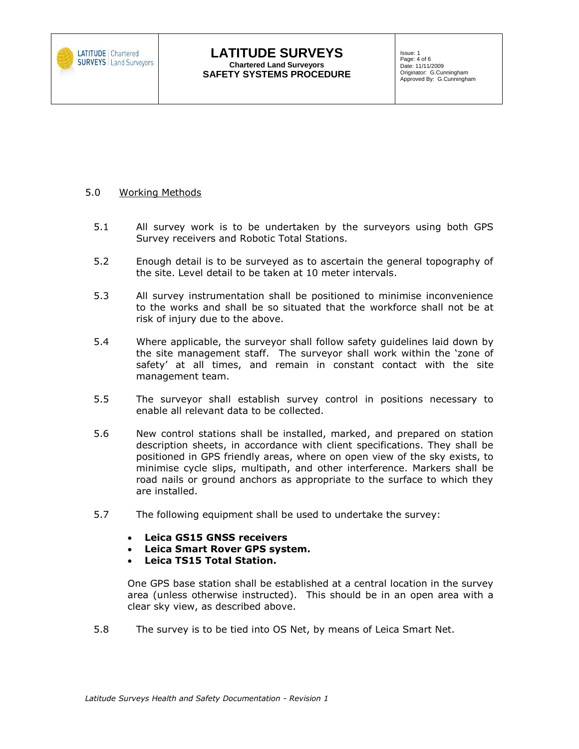

Issue: 1 Page: 4 of 6 Date: 11/11/2009 Originator: G.Cunningham Approved By: G.Cunningham

# 5.0 Working Methods

- 5.1 All survey work is to be undertaken by the surveyors using both GPS Survey receivers and Robotic Total Stations.
- 5.2 Enough detail is to be surveyed as to ascertain the general topography of the site. Level detail to be taken at 10 meter intervals.
- 5.3 All survey instrumentation shall be positioned to minimise inconvenience to the works and shall be so situated that the workforce shall not be at risk of injury due to the above.
- 5.4 Where applicable, the surveyor shall follow safety guidelines laid down by the site management staff. The surveyor shall work within the 'zone of safety' at all times, and remain in constant contact with the site management team.
- 5.5 The surveyor shall establish survey control in positions necessary to enable all relevant data to be collected.
- 5.6 New control stations shall be installed, marked, and prepared on station description sheets, in accordance with client specifications. They shall be positioned in GPS friendly areas, where on open view of the sky exists, to minimise cycle slips, multipath, and other interference. Markers shall be road nails or ground anchors as appropriate to the surface to which they are installed.
- 5.7 The following equipment shall be used to undertake the survey:
	- **Leica GS15 GNSS receivers**
	- **Leica Smart Rover GPS system.**
	- **Leica TS15 Total Station.**

One GPS base station shall be established at a central location in the survey area (unless otherwise instructed). This should be in an open area with a clear sky view, as described above.

5.8 The survey is to be tied into OS Net, by means of Leica Smart Net.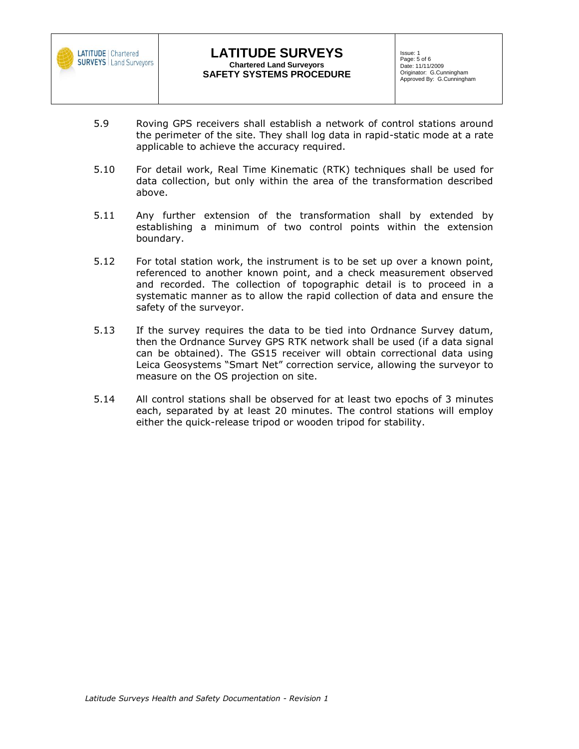

- 5.9 Roving GPS receivers shall establish a network of control stations around the perimeter of the site. They shall log data in rapid-static mode at a rate applicable to achieve the accuracy required.
- 5.10 For detail work, Real Time Kinematic (RTK) techniques shall be used for data collection, but only within the area of the transformation described above.
- 5.11 Any further extension of the transformation shall by extended by establishing a minimum of two control points within the extension boundary.
- 5.12 For total station work, the instrument is to be set up over a known point, referenced to another known point, and a check measurement observed and recorded. The collection of topographic detail is to proceed in a systematic manner as to allow the rapid collection of data and ensure the safety of the surveyor.
- 5.13 If the survey requires the data to be tied into Ordnance Survey datum, then the Ordnance Survey GPS RTK network shall be used (if a data signal can be obtained). The GS15 receiver will obtain correctional data using Leica Geosystems "Smart Net" correction service, allowing the surveyor to measure on the OS projection on site.
- 5.14 All control stations shall be observed for at least two epochs of 3 minutes each, separated by at least 20 minutes. The control stations will employ either the quick-release tripod or wooden tripod for stability.